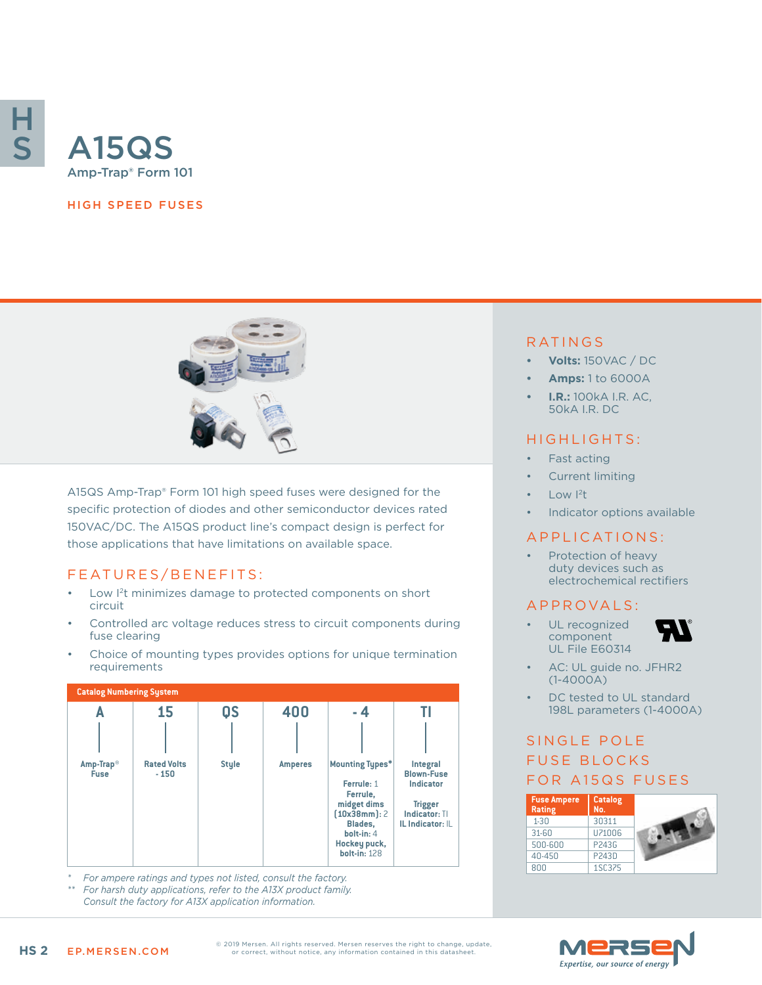

#### HIGH SPEED FUSES



A15QS Amp-Trap® Form 101 high speed fuses were designed for the specific protection of diodes and other semiconductor devices rated 150VAC/DC. The A15QS product line's compact design is perfect for those applications that have limitations on available space.

## FEATURES/BENEFITS:

- Low I2t minimizes damage to protected components on short circuit
- Controlled arc voltage reduces stress to circuit components during fuse clearing
- Choice of mounting types provides options for unique termination requirements



*\* For ampere ratings and types not listed, consult the factory.*

*\*\* For harsh duty applications, refer to the A13X product family. Consult the factory for A13X application information.*

#### RATINGS

- **• Volts:** 150VAC / DC
- **• Amps:** 1 to 6000A
- **• I.R.:** 100kA I.R. AC, 50kA I.R. DC

### HIGHLIGHTS:

- Fast acting
- Current limiting
- Low  $|^{2}t|$
- Indicator options available

#### APPLICATIONS:

• Protection of heavy duty devices such as electrochemical rectifiers

#### A P P R OVA L S :

UL recognized component UL File E60314



- AC: UL guide no. JFHR2 (1-4000A)
- DC tested to UL standard 198L parameters (1-4000A)

## SINGLE POLE **FUSE BLOCKS** FOR A15QS FUSES